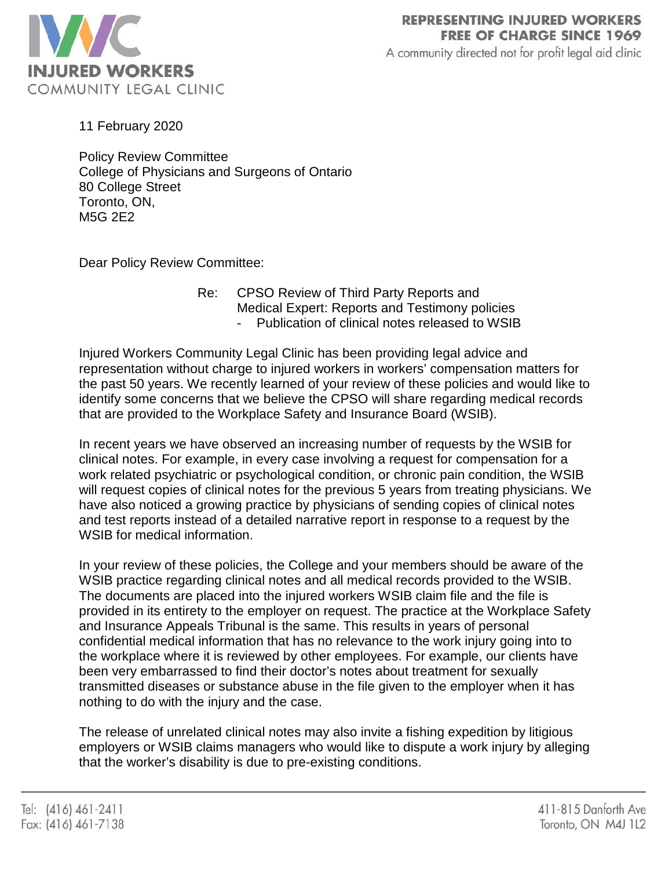

A community directed not for profit legal aid clinic

11 February 2020

Policy Review Committee College of Physicians and Surgeons of Ontario 80 College Street Toronto, ON, M5G 2E2

Dear Policy Review Committee:

Re: CPSO Review of Third Party Reports and Medical Expert: Reports and Testimony policies Publication of clinical notes released to WSIB

Injured Workers Community Legal Clinic has been providing legal advice and representation without charge to injured workers in workers' compensation matters for the past 50 years. We recently learned of your review of these policies and would like to identify some concerns that we believe the CPSO will share regarding medical records that are provided to the Workplace Safety and Insurance Board (WSIB).

In recent years we have observed an increasing number of requests by the WSIB for clinical notes. For example, in every case involving a request for compensation for a work related psychiatric or psychological condition, or chronic pain condition, the WSIB will request copies of clinical notes for the previous 5 years from treating physicians. We have also noticed a growing practice by physicians of sending copies of clinical notes and test reports instead of a detailed narrative report in response to a request by the WSIB for medical information.

In your review of these policies, the College and your members should be aware of the WSIB practice regarding clinical notes and all medical records provided to the WSIB. The documents are placed into the injured workers WSIB claim file and the file is provided in its entirety to the employer on request. The practice at the Workplace Safety and Insurance Appeals Tribunal is the same. This results in years of personal confidential medical information that has no relevance to the work injury going into to the workplace where it is reviewed by other employees. For example, our clients have been very embarrassed to find their doctor's notes about treatment for sexually transmitted diseases or substance abuse in the file given to the employer when it has nothing to do with the injury and the case.

The release of unrelated clinical notes may also invite a fishing expedition by litigious employers or WSIB claims managers who would like to dispute a work injury by alleging that the worker's disability is due to pre-existing conditions.